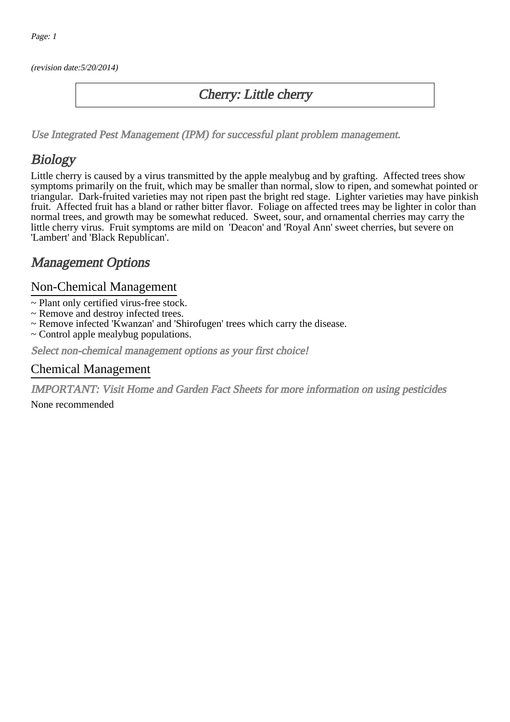(revision date:5/20/2014)

### Cherry: Little cherry

[Use Integrated Pest Management \(IPM\) for successful plant problem management.](http://pep.wsu.edu/Home_Garden/H_G_Pesticide_info/urban_Integrated_Pest_Managmen/)

## **Biology**

Little cherry is caused by a virus transmitted by the apple mealybug and by grafting. Affected trees show symptoms primarily on the fruit, which may be smaller than normal, slow to ripen, and somewhat pointed or triangular. Dark-fruited varieties may not ripen past the bright red stage. Lighter varieties may have pinkish fruit. Affected fruit has a bland or rather bitter flavor. Foliage on affected trees may be lighter in color than normal trees, and growth may be somewhat reduced. Sweet, sour, and ornamental cherries may carry the little cherry virus. Fruit symptoms are mild on 'Deacon' and 'Royal Ann' sweet cherries, but severe on 'Lambert' and 'Black Republican'.

## Management Options

#### Non-Chemical Management

- ~ Plant only certified virus-free stock.
- ~ Remove and destroy infected trees.
- ~ Remove infected 'Kwanzan' and 'Shirofugen' trees which carry the disease.
- ~ Control apple mealybug populations.

Select non-chemical management options as your first choice!

#### Chemical Management

IMPORTANT: [Visit Home and Garden Fact Sheets for more information on using pesticides](http://pep.wsu.edu/Home_Garden/H_G_Pesticide_info/)

None recommended